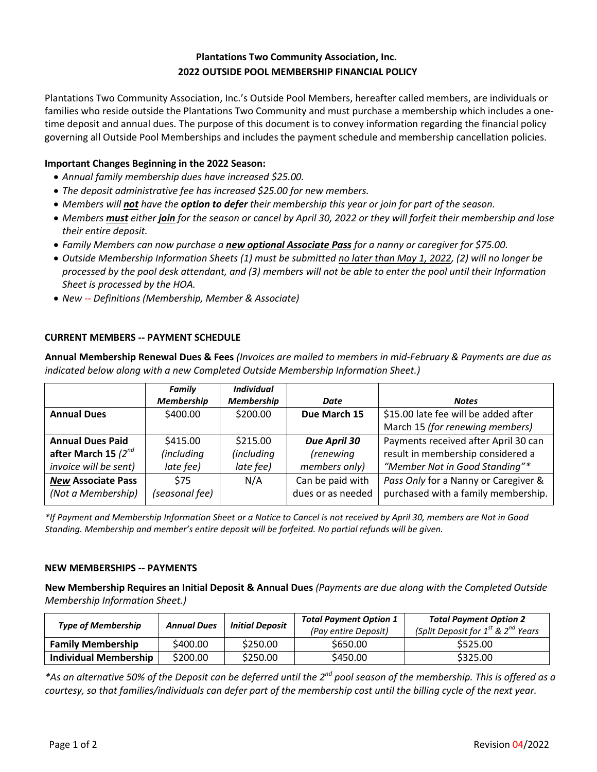# **Plantations Two Community Association, Inc. 2022 OUTSIDE POOL MEMBERSHIP FINANCIAL POLICY**

Plantations Two Community Association, Inc.'s Outside Pool Members, hereafter called members, are individuals or families who reside outside the Plantations Two Community and must purchase a membership which includes a onetime deposit and annual dues. The purpose of this document is to convey information regarding the financial policy governing all Outside Pool Memberships and includes the payment schedule and membership cancellation policies.

## **Important Changes Beginning in the 2022 Season:**

- *Annual family membership dues have increased \$25.00.*
- *The deposit administrative fee has increased \$25.00 for new members.*
- *Members will not have the option to defer their membership this year or join for part of the season.*
- *Members must either join for the season or cancel by April 30, 2022 or they will forfeit their membership and lose their entire deposit.*
- *Family Members can now purchase a new optional Associate Pass for a nanny or caregiver for \$75.00.*
- *Outside Membership Information Sheets (1) must be submitted no later than May 1, 2022, (2) will no longer be processed by the pool desk attendant, and (3) members will not be able to enter the pool until their Information Sheet is processed by the HOA.*
- *New -- Definitions (Membership, Member & Associate)*

### **CURRENT MEMBERS -- PAYMENT SCHEDULE**

**Annual Membership Renewal Dues & Fees** *(Invoices are mailed to members in mid-February & Payments are due as indicated below along with a new Completed Outside Membership Information Sheet.)*

|                           | Family            | <b>Individual</b> |                   |                                      |
|---------------------------|-------------------|-------------------|-------------------|--------------------------------------|
|                           | <b>Membership</b> | <b>Membership</b> | Date              | <b>Notes</b>                         |
| <b>Annual Dues</b>        | \$400.00          | \$200.00          | Due March 15      | \$15.00 late fee will be added after |
|                           |                   |                   |                   | March 15 (for renewing members)      |
| <b>Annual Dues Paid</b>   | \$415.00          | \$215.00          | Due April 30      | Payments received after April 30 can |
| after March 15 $(2^{nd}$  | (including        | <i>(including</i> | <i>(renewing</i>  | result in membership considered a    |
| invoice will be sent)     | late fee)         | late fee)         | members only)     | "Member Not in Good Standing"*       |
| <b>New Associate Pass</b> | <b>S75</b>        | N/A               | Can be paid with  | Pass Only for a Nanny or Caregiver & |
| (Not a Membership)        | (seasonal fee)    |                   | dues or as needed | purchased with a family membership.  |

*\*If Payment and Membership Information Sheet or a Notice to Cancel is not received by April 30, members are Not in Good Standing. Membership and member's entire deposit will be forfeited. No partial refunds will be given.*

#### **NEW MEMBERSHIPS -- PAYMENTS**

**New Membership Requires an Initial Deposit & Annual Dues** *(Payments are due along with the Completed Outside Membership Information Sheet.)*

| <b>Type of Membership</b>    | <b>Annual Dues</b> | <b>Initial Deposit</b> | <b>Total Payment Option 1</b><br>(Pay entire Deposit) | <b>Total Payment Option 2</b><br>(Split Deposit for 1 <sup>st</sup> & 2 <sup>nd</sup> Years |
|------------------------------|--------------------|------------------------|-------------------------------------------------------|---------------------------------------------------------------------------------------------|
| <b>Family Membership</b>     | S400.00            | \$250.00               | \$650.00                                              | \$525.00                                                                                    |
| <b>Individual Membership</b> | \$200.00           | \$250.00               | \$450.00                                              | \$325.00                                                                                    |

*\*As an alternative 50% of the Deposit can be deferred until the 2nd pool season of the membership. This is offered as a courtesy, so that families/individuals can defer part of the membership cost until the billing cycle of the next year.*